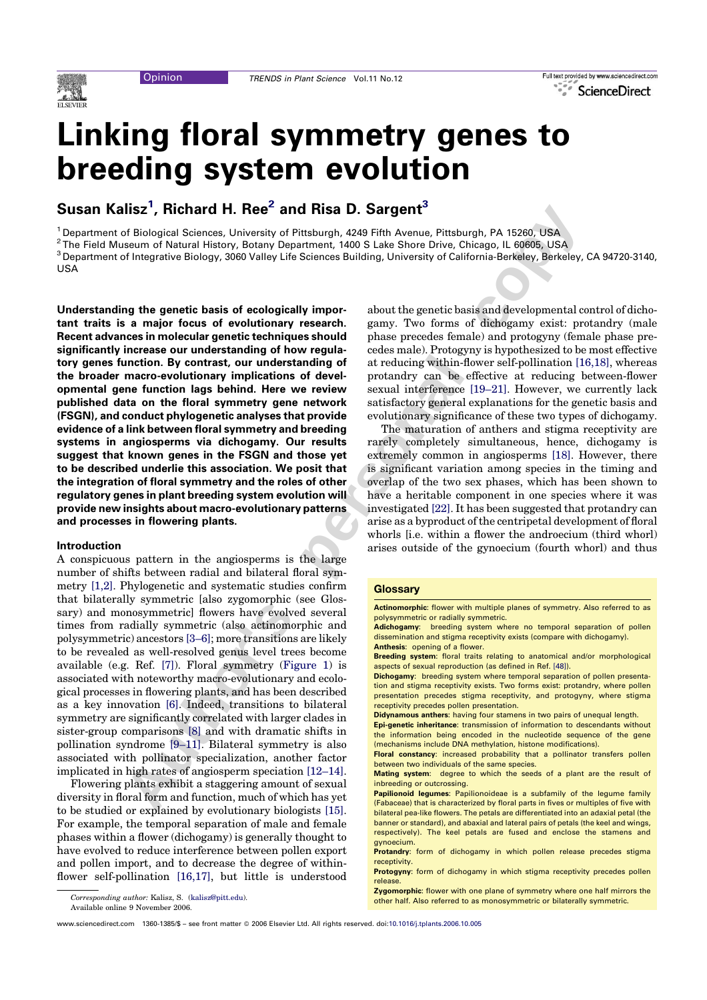

# Full text provided by www.sciencedirect.com ScienceDirect

# Linking floral symmetry genes to breeding system evolution

Susan Kalisz<sup>1</sup>, Richard H. Ree<sup>2</sup> and Risa D. Sargent<sup>3</sup>

<sup>1</sup> Department of Biological Sciences, University of Pittsburgh, 4249 Fifth Avenue, Pittsburgh, PA 15260, USA 2 The Field Museum of Natural History, Botany Department, 1400 S Lake Shore Drive, Chicago, IL 60605, USA <sup>3</sup> Department of Integrative Biology, 3060 Valley Life Sciences Building, University of California-Berkeley, Berkeley, CA 94720-3140, USA

**Authorities' Antiharm and History Distance and History (School and History (School and History Department (400 S Las Show Dres Chromy, Response to Maxman of Natural History, Bearing Pressure (1400 S Las Show Dres Chromy** Understanding the genetic basis of ecologically important traits is a major focus of evolutionary research. Recent advances in molecular genetic techniques should significantly increase our understanding of how regulatory genes function. By contrast, our understanding of the broader macro-evolutionary implications of developmental gene function lags behind. Here we review published data on the floral symmetry gene network (FSGN), and conduct phylogenetic analyses that provide evidence of a link between floral symmetry and breeding systems in angiosperms via dichogamy. Our results suggest that known genes in the FSGN and those yet to be described underlie this association. We posit that the integration of floral symmetry and the roles of other regulatory genes in plant breeding system evolution will provide new insights about macro-evolutionary patterns and processes in flowering plants.

#### Introduction

A conspicuous pattern in the angiosperms is the large number of shifts between radial and bilateral floral symmetry [1,2]. Phylogenetic and systematic studies confirm that bilaterally symmetric [also zygomorphic (see Glossary) and monosymmetric] flowers have evolved several times from radially symmetric (also actinomorphic and polysymmetric) ancestors [3–6]; more transitions are likely to be revealed as well-resolved genus level trees become available (e.g. Ref. [7]). Floral symmetry (Figure 1) is associated with noteworthy macro-evolutionary and ecological processes in flowering plants, and has been described as a key innovation [6]. Indeed, transitions to bilateral symmetry are significantly correlated with larger clades in sister-group comparisons [8] and with dramatic shifts in pollination syndrome [9–11]. Bilateral symmetry is also associated with pollinator specialization, another factor implicated in high rates of angiosperm speciation [12–14].

Flowering plants exhibit a staggering amount of sexual diversity in floral form and function, much of which has yet to be studied or explained by evolutionary biologists [15]. For example, the temporal separation of male and female phases within a flower (dichogamy) is generally thought to have evolved to reduce interference between pollen export and pollen import, and to decrease the degree of withinflower self-pollination [16,17], but little is understood

Available online 9 November 2006.

about the genetic basis and developmental control of dichogamy. Two forms of dichogamy exist: protandry (male phase precedes female) and protogyny (female phase precedes male). Protogyny is hypothesized to be most effective at reducing within-flower self-pollination [16,18], whereas protandry can be effective at reducing between-flower sexual interference [19–21]. However, we currently lack satisfactory general explanations for the genetic basis and evolutionary significance of these two types of dichogamy.

The maturation of anthers and stigma receptivity are rarely completely simultaneous, hence, dichogamy is extremely common in angiosperms [18]. However, there is significant variation among species in the timing and overlap of the two sex phases, which has been shown to have a heritable component in one species where it was investigated [22]. It has been suggested that protandry can arise as a byproduct of the centripetal development of floral whorls [i.e. within a flower the androecium (third whorl) arises outside of the gynoecium (fourth whorl) and thus

#### **Glossary**

Actinomorphic: flower with multiple planes of symmetry. Also referred to as polysymmetric or radially symmetric.

Adichogamy: breeding system where no temporal separation of pollen dissemination and stigma receptivity exists (compare with dichogamy). Anthesis: opening of a flower.

Breeding system: floral traits relating to anatomical and/or morphological aspects of sexual reproduction (as defined in Ref. [48]).

Dichogamy: breeding system where temporal separation of pollen presentation and stigma receptivity exists. Two forms exist: protandry, where pollen presentation precedes stigma receptivity, and protogyny, where stigma receptivity precedes pollen presentation.

Didynamous anthers: having four stamens in two pairs of unequal length.

Epi-genetic inheritance: transmission of information to descendants without the information being encoded in the nucleotide sequence of the gene (mechanisms include DNA methylation, histone modifications).

Floral constancy: increased probability that a pollinator transfers pollen between two individuals of the same species.

Mating system: degree to which the seeds of a plant are the result of inbreeding or outcrossing.

Papilionoid legumes: Papilionoideae is a subfamily of the legume family (Fabaceae) that is characterized by floral parts in fives or multiples of five with bilateral pea-like flowers. The petals are differentiated into an adaxial petal (the banner or standard), and abaxial and lateral pairs of petals (the keel and wings, respectively). The keel petals are fused and enclose the stamens and gynoecium.

Protandry: form of dichogamy in which pollen release precedes stigma receptivity

Protogyny: form of dichogamy in which stigma receptivity precedes pollen release.

**Zygomorphic:** flower with one plane of symmetry where one half mirrors the Corresponding author: Kalisz, S. (kalisz@pitt.edu). The corresponding author: Kalisz, S. (kalisz@pitt.edu).

www.sciencedirect.com 1360-1385/\$ - see front matter @ 2006 Elsevier Ltd. All rights reserved. doi:10.1016/j.tplants.2006.10.005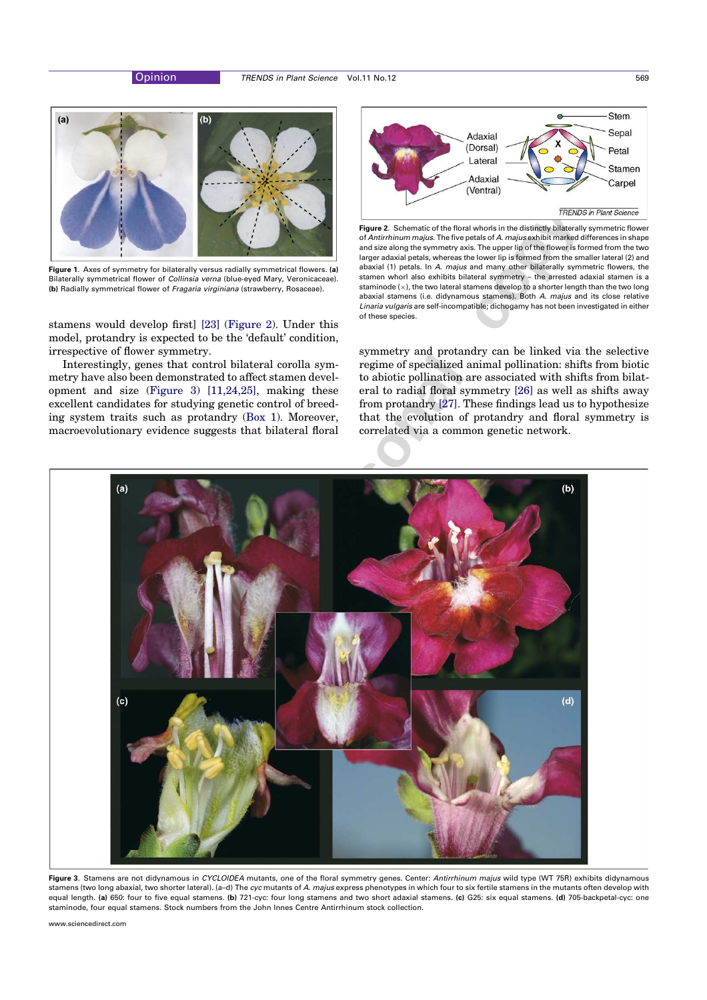

Figure 1. Axes of symmetry for bilaterally versus radially symmetrical flowers. (a) Bilaterally symmetrical flower of *Collinsia verna* (blue-eyed Mary, Veronicaceae). (b) Radially symmetrical flower of Fragaria virginiana (strawberry, Rosaceae).

stamens would develop first] [23] (Figure 2). Under this model, protandry is expected to be the 'default' condition, irrespective of flower symmetry.

Interestingly, genes that control bilateral corolla symmetry have also been demonstrated to affect stamen development and size (Figure 3) [11,24,25], making these excellent candidates for studying genetic control of breeding system traits such as protandry (Box 1). Moreover, macroevolutionary evidence suggests that bilateral floral



Figure 2. Schematic of the floral whorls in the distinctly bilaterally symmetric flower of Antirrhinum majus. The five petals of A. majus exhibit marked differences in shape and size along the symmetry axis. The upper lip of the flower is formed from the two larger adaxial petals, whereas the lower lip is formed from the smaller lateral (2) and abaxial (1) petals. In A. majus and many other bilaterally symmetric flowers, the stamen whorl also exhibits bilateral symmetry – the arrested adaxial stamen is a staminode  $(x)$ , the two lateral stamens develop to a shorter length than the two long abaxial stamens (i.e. didynamous stamens). Both A. majus and its close relative Linaria vulgaris are self-incompatible; dichogamy has not been investigated in either of these species.

symmetry and protandry can be linked via the selective regime of specialized animal pollination: shifts from biotic to abiotic pollination are associated with shifts from bilateral to radial floral symmetry [26] as well as shifts away from protandry [27]. These findings lead us to hypothesize that the evolution of protandry and floral symmetry is correlated via a common genetic network.



Figure 3. Stamens are not didynamous in CYCLOIDEA mutants, one of the floral symmetry genes. Center: Antirrhinum majus wild type (WT 75R) exhibits didynamous stamens (two long abaxial, two shorter lateral). (a–d) The cyc mutants of A. majus express phenotypes in which four to six fertile stamens in the mutants often develop with equal length. (a) 650: four to five equal stamens. (b) 721-cyc: four long stamens and two short adaxial stamens. (c) G25: six equal stamens. (d) 705-backpetal-cyc: one staminode, four equal stamens. Stock numbers from the John Innes Centre Antirrhinum stock collection.

www.sciencedirect.com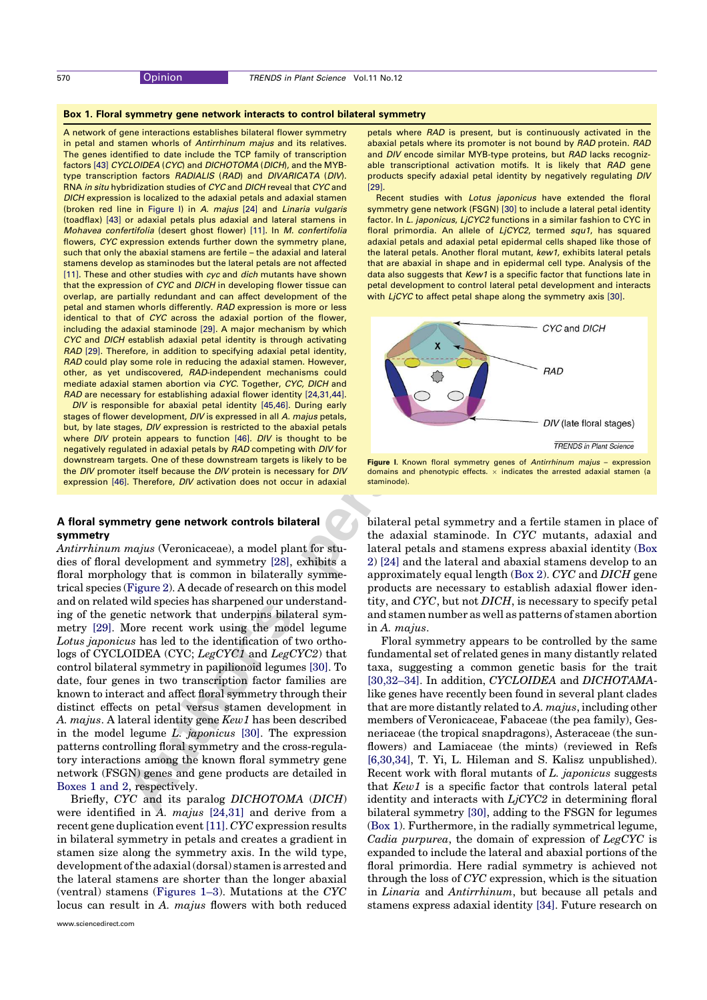## Box 1. Floral symmetry gene network interacts to control bilateral symmetry

A network of gene interactions establishes bilateral flower symmetry in petal and stamen whorls of Antirrhinum majus and its relatives. The genes identified to date include the TCP family of transcription factors [43] CYCLOIDEA (CYC) and DICHOTOMA (DICH), and the MYBtype transcription factors RADIALIS (RAD) and DIVARICATA (DIV). RNA in situ hybridization studies of CYC and DICH reveal that CYC and DICH expression is localized to the adaxial petals and adaxial stamen (broken red line in Figure I) in A. majus [24] and Linaria vulgaris (toadflax) [43] or adaxial petals plus adaxial and lateral stamens in Mohavea confertifolia (desert ghost flower) [11]. In M. confertifolia flowers, CYC expression extends further down the symmetry plane, such that only the abaxial stamens are fertile – the adaxial and lateral stamens develop as staminodes but the lateral petals are not affected [11]. These and other studies with cyc and dich mutants have shown that the expression of CYC and DICH in developing flower tissue can overlap, are partially redundant and can affect development of the petal and stamen whorls differently. RAD expression is more or less identical to that of CYC across the adaxial portion of the flower, including the adaxial staminode [29]. A major mechanism by which CYC and DICH establish adaxial petal identity is through activating RAD [29]. Therefore, in addition to specifying adaxial petal identity, RAD could play some role in reducing the adaxial stamen. However, other, as yet undiscovered, RAD-independent mechanisms could mediate adaxial stamen abortion via CYC. Together, CYC, DICH and RAD are necessary for establishing adaxial flower identity [24,31,44].

DIV is responsible for abaxial petal identity [45,46]. During early stages of flower development, DIV is expressed in all A. majus petals, but, by late stages, DIV expression is restricted to the abaxial petals where DIV protein appears to function [46]. DIV is thought to be negatively regulated in adaxial petals by RAD competing with DIV for downstream targets. One of these downstream targets is likely to be the DIV promoter itself because the DIV protein is necessary for DIV expression [46]. Therefore, DIV activation does not occur in adaxial

# A floral symmetry gene network controls bilateral symmetry

**By the Branch Diversion of the main state of the Southern state and the state a state of the Southern System and Southern state and the state and the state and the state and the state and the state and the state and the** Antirrhinum majus (Veronicaceae), a model plant for studies of floral development and symmetry [28], exhibits a floral morphology that is common in bilaterally symmetrical species (Figure 2). A decade of research on this model and on related wild species has sharpened our understanding of the genetic network that underpins bilateral symmetry [29]. More recent work using the model legume Lotus japonicus has led to the identification of two orthologs of CYCLOIDEA (CYC; LegCYC1 and LegCYC2) that control bilateral symmetry in papilionoid legumes [30]. To date, four genes in two transcription factor families are known to interact and affect floral symmetry through their distinct effects on petal versus stamen development in A. majus. A lateral identity gene Kew1 has been described in the model legume L. japonicus [30]. The expression patterns controlling floral symmetry and the cross-regulatory interactions among the known floral symmetry gene network (FSGN) genes and gene products are detailed in Boxes 1 and 2, respectively.

Briefly, CYC and its paralog DICHOTOMA (DICH) were identified in A. majus [24,31] and derive from a recent gene duplication event[11]. CYC expression results in bilateral symmetry in petals and creates a gradient in stamen size along the symmetry axis. In the wild type, development ofthe adaxial (dorsal) stamen is arrested and the lateral stamens are shorter than the longer abaxial (ventral) stamens (Figures 1–3). Mutations at the CYC locus can result in A. majus flowers with both reduced petals where RAD is present, but is continuously activated in the abaxial petals where its promoter is not bound by RAD protein. RAD and DIV encode similar MYB-type proteins, but RAD lacks recognizable transcriptional activation motifs. It is likely that RAD gene products specify adaxial petal identity by negatively regulating DIV [29].

Recent studies with Lotus japonicus have extended the floral symmetry gene network (FSGN) [30] to include a lateral petal identity factor. In L. japonicus, LjCYC2 functions in a similar fashion to CYC in floral primordia. An allele of LjCYC2, termed squ1, has squared adaxial petals and adaxial petal epidermal cells shaped like those of the lateral petals. Another floral mutant, kew1, exhibits lateral petals that are abaxial in shape and in epidermal cell type. Analysis of the data also suggests that Kew1 is a specific factor that functions late in petal development to control lateral petal development and interacts with LjCYC to affect petal shape along the symmetry axis [30].





bilateral petal symmetry and a fertile stamen in place of the adaxial staminode. In CYC mutants, adaxial and lateral petals and stamens express abaxial identity (Box 2) [24] and the lateral and abaxial stamens develop to an approximately equal length (Box 2). CYC and DICH gene products are necessary to establish adaxial flower identity, and CYC, but not DICH, is necessary to specify petal and stamen number as well as patterns of stamen abortion in A. majus.

Floral symmetry appears to be controlled by the same fundamental set of related genes in many distantly related taxa, suggesting a common genetic basis for the trait [30,32–34]. In addition, CYCLOIDEA and DICHOTAMAlike genes have recently been found in several plant clades that are more distantly related to  $A$ .  $majus$ , including other members of Veronicaceae, Fabaceae (the pea family), Gesneriaceae (the tropical snapdragons), Asteraceae (the sunflowers) and Lamiaceae (the mints) (reviewed in Refs [6,30,34], T. Yi, L. Hileman and S. Kalisz unpublished). Recent work with floral mutants of L. japonicus suggests that Kew1 is a specific factor that controls lateral petal identity and interacts with  $LjCYC2$  in determining floral bilateral symmetry [30], adding to the FSGN for legumes (Box 1). Furthermore, in the radially symmetrical legume, Cadia purpurea, the domain of expression of LegCYC is expanded to include the lateral and abaxial portions of the floral primordia. Here radial symmetry is achieved not through the loss of CYC expression, which is the situation in Linaria and Antirrhinum, but because all petals and stamens express adaxial identity [34]. Future research on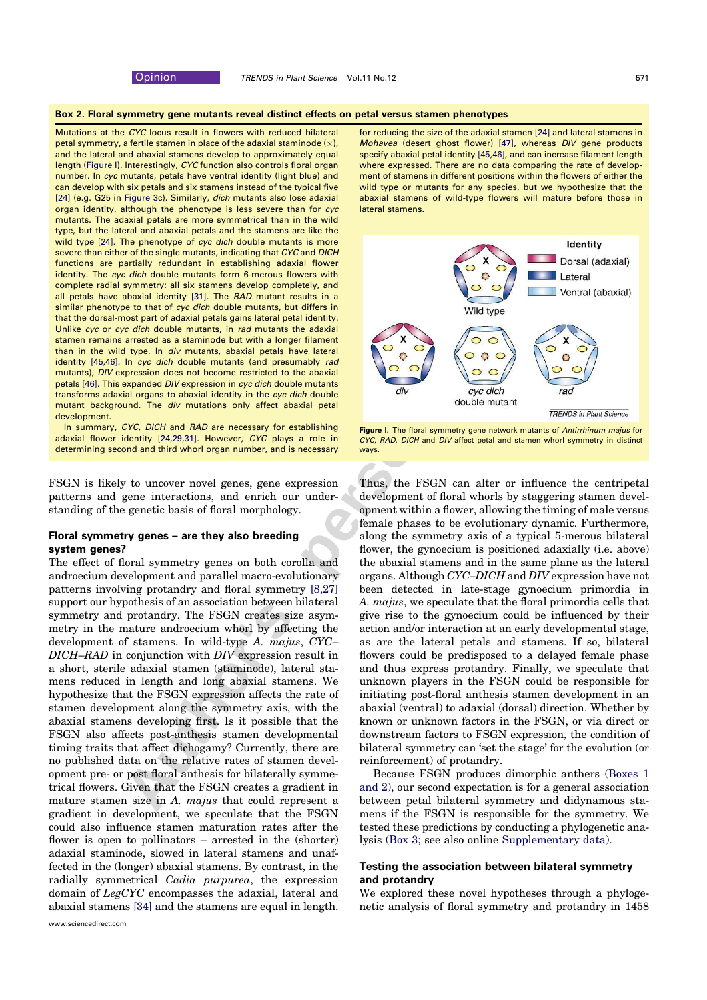#### Box 2. Floral symmetry gene mutants reveal distinct effects on petal versus stamen phenotypes

Mutations at the CYC locus result in flowers with reduced bilateral petal symmetry, a fertile stamen in place of the adaxial staminode ( $\times$ ), and the lateral and abaxial stamens develop to approximately equal length (Figure I). Interestingly, CYC function also controls floral organ number. In cyc mutants, petals have ventral identity (light blue) and can develop with six petals and six stamens instead of the typical five [24] (e.g. G25 in Figure 3c). Similarly, dich mutants also lose adaxial organ identity, although the phenotype is less severe than for cyc mutants. The adaxial petals are more symmetrical than in the wild type, but the lateral and abaxial petals and the stamens are like the wild type [24]. The phenotype of cyc dich double mutants is more severe than either of the single mutants, indicating that CYC and DICH functions are partially redundant in establishing adaxial flower identity. The cyc dich double mutants form 6-merous flowers with complete radial symmetry: all six stamens develop completely, and all petals have abaxial identity [31]. The RAD mutant results in a similar phenotype to that of cyc dich double mutants, but differs in that the dorsal-most part of adaxial petals gains lateral petal identity. Unlike cyc or cyc dich double mutants, in rad mutants the adaxial stamen remains arrested as a staminode but with a longer filament than in the wild type. In div mutants, abaxial petals have lateral identity [45,46]. In cyc dich double mutants (and presumably rad mutants), DIV expression does not become restricted to the abaxial petals [46]. This expanded DIV expression in cyc dich double mutants transforms adaxial organs to abaxial identity in the cyc dich double mutant background. The div mutations only affect abaxial petal development.

In summary, CYC, DICH and RAD are necessary for establishing adaxial flower identity [24,29,31]. However, CYC plays a role in determining second and third whorl organ number, and is necessary

FSGN is likely to uncover novel genes, gene expression patterns and gene interactions, and enrich our understanding of the genetic basis of floral morphology.

## Floral symmetry genes – are they also breeding system genes?

The effect of floral symmetry genes on both corolla and androecium development and parallel macro-evolutionary patterns involving protandry and floral symmetry [8,27] support our hypothesis of an association between bilateral symmetry and protandry. The FSGN creates size asymmetry in the mature androecium whorl by affecting the development of stamens. In wild-type A. majus, CYC– DICH–RAD in conjunction with DIV expression result in a short, sterile adaxial stamen (staminode), lateral stamens reduced in length and long abaxial stamens. We hypothesize that the FSGN expression affects the rate of stamen development along the symmetry axis, with the abaxial stamens developing first. Is it possible that the FSGN also affects post-anthesis stamen developmental timing traits that affect dichogamy? Currently, there are no published data on the relative rates of stamen development pre- or post floral anthesis for bilaterally symmetrical flowers. Given that the FSGN creates a gradient in mature stamen size in A. *majus* that could represent a gradient in development, we speculate that the FSGN could also influence stamen maturation rates after the flower is open to pollinators – arrested in the (shorter) adaxial staminode, slowed in lateral stamens and unaffected in the (longer) abaxial stamens. By contrast, in the radially symmetrical Cadia purpurea, the expression domain of LegCYC encompasses the adaxial, lateral and abaxial stamens [34] and the stamens are equal in length.

for reducing the size of the adaxial stamen [24] and lateral stamens in Mohavea (desert ghost flower) [47], whereas DIV gene products specify abaxial petal identity [45,46], and can increase filament length where expressed. There are no data comparing the rate of development of stamens in different positions within the flowers of either the wild type or mutants for any species, but we hypothesize that the abaxial stamens of wild-type flowers will mature before those in lateral stamens.



Figure I. The floral symmetry gene network mutants of Antirrhinum majus for CYC, RAD, DICH and DIV affect petal and stamen whorl symmetry in distinct ways.

attention of the personal control is the second with the personal control in the personal control in the personal control in the second of the second of the second of the second of the second of the second of the second o Thus, the FSGN can alter or influence the centripetal development of floral whorls by staggering stamen development within a flower, allowing the timing of male versus female phases to be evolutionary dynamic. Furthermore, along the symmetry axis of a typical 5-merous bilateral flower, the gynoecium is positioned adaxially (i.e. above) the abaxial stamens and in the same plane as the lateral organs. Although CYC–DICH and DIV expression have not been detected in late-stage gynoecium primordia in A. majus, we speculate that the floral primordia cells that give rise to the gynoecium could be influenced by their action and/or interaction at an early developmental stage, as are the lateral petals and stamens. If so, bilateral flowers could be predisposed to a delayed female phase and thus express protandry. Finally, we speculate that unknown players in the FSGN could be responsible for initiating post-floral anthesis stamen development in an abaxial (ventral) to adaxial (dorsal) direction. Whether by known or unknown factors in the FSGN, or via direct or downstream factors to FSGN expression, the condition of bilateral symmetry can 'set the stage' for the evolution (or reinforcement) of protandry.

Because FSGN produces dimorphic anthers (Boxes 1 and 2), our second expectation is for a general association between petal bilateral symmetry and didynamous stamens if the FSGN is responsible for the symmetry. We tested these predictions by conducting a phylogenetic analysis (Box 3; see also online Supplementary data).

# Testing the association between bilateral symmetry and protandry

We explored these novel hypotheses through a phylogenetic analysis of floral symmetry and protandry in 1458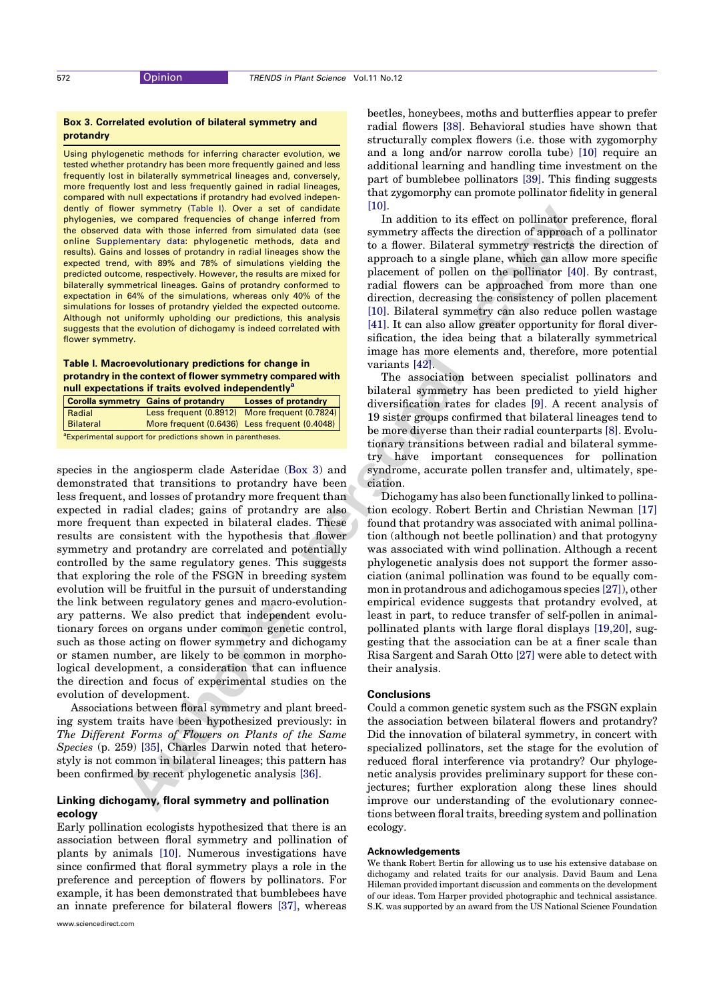## Box 3. Correlated evolution of bilateral symmetry and protandry

Using phylogenetic methods for inferring character evolution, we tested whether protandry has been more frequently gained and less frequently lost in bilaterally symmetrical lineages and, conversely, more frequently lost and less frequently gained in radial lineages, compared with null expectations if protandry had evolved independently of flower symmetry (Table I). Over a set of candidate phylogenies, we compared frequencies of change inferred from the observed data with those inferred from simulated data (see online Supplementary data: phylogenetic methods, data and results). Gains and losses of protandry in radial lineages show the expected trend, with 89% and 78% of simulations yielding the predicted outcome, respectively. However, the results are mixed for bilaterally symmetrical lineages. Gains of protandry conformed to expectation in 64% of the simulations, whereas only 40% of the simulations for losses of protandry yielded the expected outcome. Although not uniformly upholding our predictions, this analysis suggests that the evolution of dichogamy is indeed correlated with flower symmetry.

## Table I. Macroevolutionary predictions for change in protandry in the context of flower symmetry compared with null expectations if traits evolved independently<sup>a</sup>

|                                                                         |           | <b>Corolla symmetry Gains of protandry</b>    | <b>Losses of protandry</b> |
|-------------------------------------------------------------------------|-----------|-----------------------------------------------|----------------------------|
|                                                                         | Radial    | Less frequent (0.8912) More frequent (0.7824) |                            |
|                                                                         | Bilateral | More frequent (0.6436) Less frequent (0.4048) |                            |
| <sup>a</sup> Experimental support for predictions shown in parentheses. |           |                                               |                            |

**Authority** (Table 1. Copyr a hole of contribute the of the effect on pollingity resolution and the effect on the effect on the pollingity and the effect of the effect of the effect of the effect of the effect of the energ species in the angiosperm clade Asteridae (Box 3) and demonstrated that transitions to protandry have been less frequent, and losses of protandry more frequent than expected in radial clades; gains of protandry are also more frequent than expected in bilateral clades. These results are consistent with the hypothesis that flower symmetry and protandry are correlated and potentially controlled by the same regulatory genes. This suggests that exploring the role of the FSGN in breeding system evolution will be fruitful in the pursuit of understanding the link between regulatory genes and macro-evolutionary patterns. We also predict that independent evolutionary forces on organs under common genetic control, such as those acting on flower symmetry and dichogamy or stamen number, are likely to be common in morphological development, a consideration that can influence the direction and focus of experimental studies on the evolution of development.

Associations between floral symmetry and plant breeding system traits have been hypothesized previously: in The Different Forms of Flowers on Plants of the Same Species (p. 259) [35], Charles Darwin noted that heterostyly is not common in bilateral lineages; this pattern has been confirmed by recent phylogenetic analysis [36].

# Linking dichogamy, floral symmetry and pollination ecology

Early pollination ecologists hypothesized that there is an association between floral symmetry and pollination of plants by animals [10]. Numerous investigations have since confirmed that floral symmetry plays a role in the preference and perception of flowers by pollinators. For example, it has been demonstrated that bumblebees have an innate preference for bilateral flowers [37], whereas beetles, honeybees, moths and butterflies appear to prefer radial flowers [38]. Behavioral studies have shown that structurally complex flowers (i.e. those with zygomorphy and a long and/or narrow corolla tube) [10] require an additional learning and handling time investment on the part of bumblebee pollinators [39]. This finding suggests that zygomorphy can promote pollinator fidelity in general [10].

In addition to its effect on pollinator preference, floral symmetry affects the direction of approach of a pollinator to a flower. Bilateral symmetry restricts the direction of approach to a single plane, which can allow more specific placement of pollen on the pollinator [40]. By contrast, radial flowers can be approached from more than one direction, decreasing the consistency of pollen placement [10]. Bilateral symmetry can also reduce pollen wastage [41]. It can also allow greater opportunity for floral diversification, the idea being that a bilaterally symmetrical image has more elements and, therefore, more potential variants [42].

The association between specialist pollinators and bilateral symmetry has been predicted to yield higher diversification rates for clades [9]. A recent analysis of 19 sister groups confirmed that bilateral lineages tend to be more diverse than their radial counterparts [8]. Evolutionary transitions between radial and bilateral symmetry have important consequences for pollination syndrome, accurate pollen transfer and, ultimately, speciation.

Dichogamy has also been functionally linked to pollination ecology. Robert Bertin and Christian Newman [17] found that protandry was associated with animal pollination (although not beetle pollination) and that protogyny was associated with wind pollination. Although a recent phylogenetic analysis does not support the former association (animal pollination was found to be equally common in protandrous and adichogamous species [27]), other empirical evidence suggests that protandry evolved, at least in part, to reduce transfer of self-pollen in animalpollinated plants with large floral displays [19,20], suggesting that the association can be at a finer scale than Risa Sargent and Sarah Otto [27] were able to detect with their analysis.

## Conclusions

Could a common genetic system such as the FSGN explain the association between bilateral flowers and protandry? Did the innovation of bilateral symmetry, in concert with specialized pollinators, set the stage for the evolution of reduced floral interference via protandry? Our phylogenetic analysis provides preliminary support for these conjectures; further exploration along these lines should improve our understanding of the evolutionary connections between floral traits, breeding system and pollination ecology.

## Acknowledgements

We thank Robert Bertin for allowing us to use his extensive database on dichogamy and related traits for our analysis. David Baum and Lena Hileman provided important discussion and comments on the development of our ideas. Tom Harper provided photographic and technical assistance. S.K. was supported by an award from the US National Science Foundation